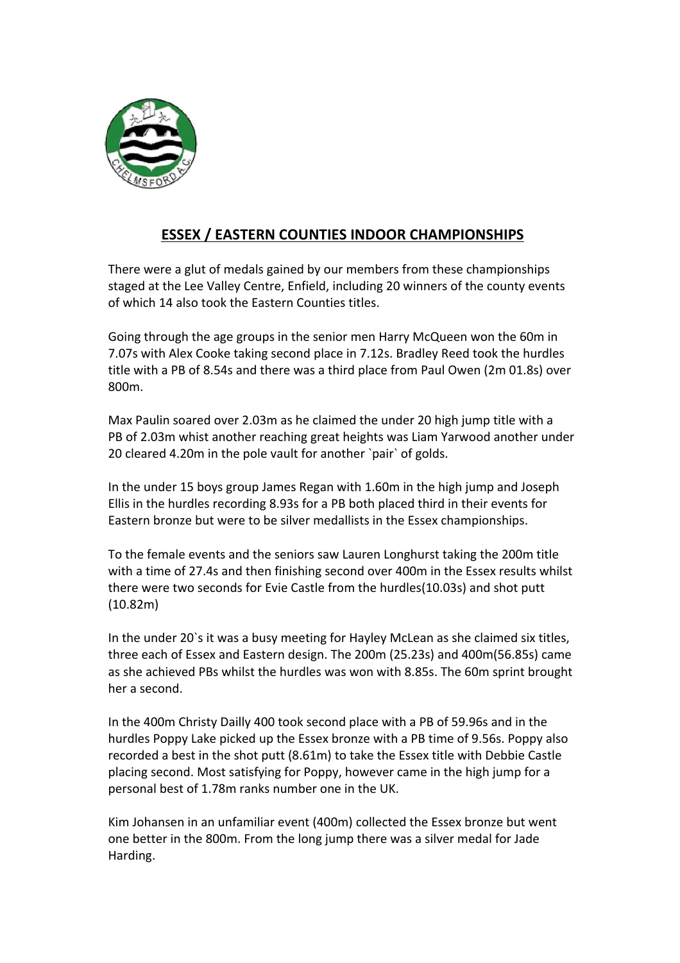

## **ESSEX / EASTERN COUNTIES INDOOR CHAMPIONSHIPS**

There were a glut of medals gained by our members from these championships staged at the Lee Valley Centre, Enfield, including 20 winners of the county events of which 14 also took the Eastern Counties titles.

Going through the age groups in the senior men Harry McQueen won the 60m in 7.07s with Alex Cooke taking second place in 7.12s. Bradley Reed took the hurdles title with a PB of 8.54s and there was a third place from Paul Owen (2m 01.8s) over 800m.

Max Paulin soared over 2.03m as he claimed the under 20 high jump title with a PB of 2.03m whist another reaching great heights was Liam Yarwood another under 20 cleared 4.20m in the pole vault for another `pair` of golds.

In the under 15 boys group James Regan with 1.60m in the high jump and Joseph Ellis in the hurdles recording 8.93s for a PB both placed third in their events for Eastern bronze but were to be silver medallists in the Essex championships.

To the female events and the seniors saw Lauren Longhurst taking the 200m title with a time of 27.4s and then finishing second over 400m in the Essex results whilst there were two seconds for Evie Castle from the hurdles(10.03s) and shot putt (10.82m)

In the under 20's it was a busy meeting for Hayley McLean as she claimed six titles, three each of Essex and Eastern design. The 200m (25.23s) and 400m(56.85s) came as she achieved PBs whilst the hurdles was won with 8.85s. The 60m sprint brought her a second.

In the 400m Christy Dailly 400 took second place with a PB of 59.96s and in the hurdles Poppy Lake picked up the Essex bronze with a PB time of 9.56s. Poppy also recorded a best in the shot putt (8.61m) to take the Essex title with Debbie Castle placing second. Most satisfying for Poppy, however came in the high jump for a personal best of 1.78m ranks number one in the UK.

Kim Johansen in an unfamiliar event (400m) collected the Essex bronze but went one better in the 800m. From the long jump there was a silver medal for Jade Harding.